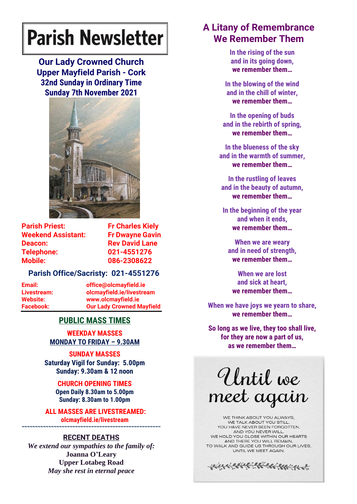# **Parish Newsletter**

**Our Lady Crowned Church Upper Mayfield Parish - Cork 32nd Sunday in Ordinary Time Sunday 7th November 2021**



**Parish Priest:** Fr Charles Kielv **Weekend Assistant: Fr Dwayne Gavin Deacon:** Rev David Lane **Telephone: 021-4551276 Mobile: 086-2308622** 

## **Parish Office/Sacristy: 021-4551276**

**Email: office@olcmayfield.ie Livestream: olcmayfield.ie/livestream Website: www.olcmayfield.ie Facebook: Our Lady Crowned Mayfield**

# **PUBLIC MASS TIMES**

**WEEKDAY MASSES MONDAY TO FRIDAY – 9.30AM**

**SUNDAY MASSES Saturday Vigil for Sunday: 5.00pm Sunday: 9.30am & 12 noon**

> **CHURCH OPENING TIMES Open Daily 8.30am to 5.00pm Sunday: 8.30am to 1.00pm**

**ALL MASSES ARE LIVESTREAMED: olcmayfield.ie/livestream**

### **~~~~~~~~~~~~~~~~~~~~~~~~~~~~~~~~~~~~~~~~~~~~~~~~~~~~ RECENT DEATHS**

*We extend our sympathies to the family of:* **Joanna O'Leary Upper Lotabeg Road** *May she rest in eternal peace*

# **A Litany of Remembrance We Remember Them**

**In the rising of the sun and in its going down, we remember them…**

**In the blowing of the wind and in the chill of winter, we remember them…**

**In the opening of buds and in the rebirth of spring, we remember them…**

**In the blueness of the sky and in the warmth of summer, we remember them…**

**In the rustling of leaves and in the beauty of autumn, we remember them…**

**In the beginning of the year and when it ends, we remember them…**

**When we are weary and in need of strength, we remember them…**

**When we are lost and sick at heart, we remember them…**

**When we have joys we yearn to share, we remember them…**

**So long as we live, they too shall live, for they are now a part of us, as we remember them…**

Until we meet again

WE THINK ABOUT YOU ALWAYS. WE TALK ABOUT YOU STILL, YOU HAVE NEVER BEEN FORGOTTEN. AND YOU NEVER WILL. WE HOLD YOU CLOSE WITHIN OUR HEARTS AND THERE YOU WILL REMAIN. TO WALK AND GUIDE US THROUGH OUR LIVES, UNTIL WE MEET AGAIN.